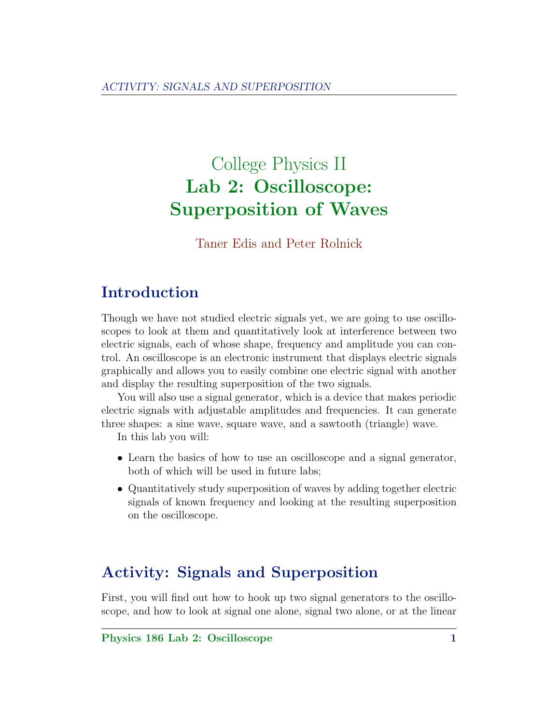# College Physics II Lab 2: Oscilloscope: Superposition of Waves

Taner Edis and Peter Rolnick

### Introduction

Though we have not studied electric signals yet, we are going to use oscilloscopes to look at them and quantitatively look at interference between two electric signals, each of whose shape, frequency and amplitude you can control. An oscilloscope is an electronic instrument that displays electric signals graphically and allows you to easily combine one electric signal with another and display the resulting superposition of the two signals.

You will also use a signal generator, which is a device that makes periodic electric signals with adjustable amplitudes and frequencies. It can generate three shapes: a sine wave, square wave, and a sawtooth (triangle) wave.

In this lab you will:

- Learn the basics of how to use an oscilloscope and a signal generator, both of which will be used in future labs;
- Quantitatively study superposition of waves by adding together electric signals of known frequency and looking at the resulting superposition on the oscilloscope.

## Activity: Signals and Superposition

First, you will find out how to hook up two signal generators to the oscilloscope, and how to look at signal one alone, signal two alone, or at the linear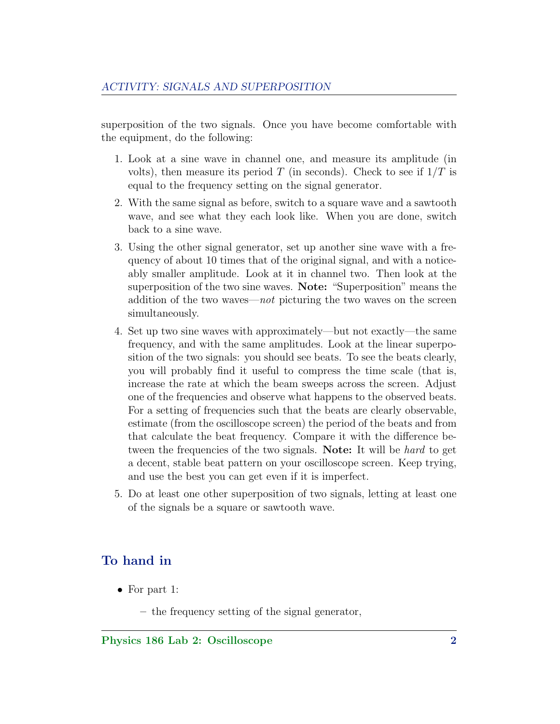superposition of the two signals. Once you have become comfortable with the equipment, do the following:

- 1. Look at a sine wave in channel one, and measure its amplitude (in volts), then measure its period T (in seconds). Check to see if  $1/T$  is equal to the frequency setting on the signal generator.
- 2. With the same signal as before, switch to a square wave and a sawtooth wave, and see what they each look like. When you are done, switch back to a sine wave.
- 3. Using the other signal generator, set up another sine wave with a frequency of about 10 times that of the original signal, and with a noticeably smaller amplitude. Look at it in channel two. Then look at the superposition of the two sine waves. Note: "Superposition" means the addition of the two waves—not picturing the two waves on the screen simultaneously.
- 4. Set up two sine waves with approximately—but not exactly—the same frequency, and with the same amplitudes. Look at the linear superposition of the two signals: you should see beats. To see the beats clearly, you will probably find it useful to compress the time scale (that is, increase the rate at which the beam sweeps across the screen. Adjust one of the frequencies and observe what happens to the observed beats. For a setting of frequencies such that the beats are clearly observable, estimate (from the oscilloscope screen) the period of the beats and from that calculate the beat frequency. Compare it with the difference between the frequencies of the two signals. Note: It will be *hard* to get a decent, stable beat pattern on your oscilloscope screen. Keep trying, and use the best you can get even if it is imperfect.
- 5. Do at least one other superposition of two signals, letting at least one of the signals be a square or sawtooth wave.

#### To hand in

- For part 1:
	- the frequency setting of the signal generator,